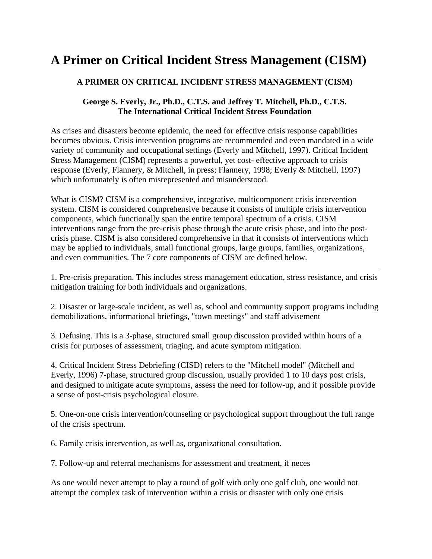## **A Primer on Critical Incident Stress Management (CISM)**

## **A PRIMER ON CRITICAL INCIDENT STRESS MANAGEMENT (CISM)**

## **George S. Everly, Jr., Ph.D., C.T.S. and Jeffrey T. Mitchell, Ph.D., C.T.S. The International Critical Incident Stress Foundation**

As crises and disasters become epidemic, the need for effective crisis response capabilities becomes obvious. Crisis intervention programs are recommended and even mandated in a wide variety of community and occupational settings (Everly and Mitchell, 1997). Critical Incident Stress Management (CISM) represents a powerful, yet cost- effective approach to crisis response (Everly, Flannery, & Mitchell, in press; Flannery, 1998; Everly & Mitchell, 1997) which unfortunately is often misrepresented and misunderstood.

What is CISM? CISM is a comprehensive, integrative, multicomponent crisis intervention system. CISM is considered comprehensive because it consists of multiple crisis intervention components, which functionally span the entire temporal spectrum of a crisis. CISM interventions range from the pre-crisis phase through the acute crisis phase, and into the postcrisis phase. CISM is also considered comprehensive in that it consists of interventions which may be applied to individuals, small functional groups, large groups, families, organizations, and even communities. The 7 core components of CISM are defined below.

1. Pre-crisis preparation. This includes stress management education, stress resistance, and crisis mitigation training for both individuals and organizations.

2. Disaster or large-scale incident, as well as, school and community support programs including demobilizations, informational briefings, "town meetings" and staff advisement

3. Defusing. This is a 3-phase, structured small group discussion provided within hours of a crisis for purposes of assessment, triaging, and acute symptom mitigation.

4. Critical Incident Stress Debriefing (CISD) refers to the "Mitchell model" (Mitchell and Everly, 1996) 7-phase, structured group discussion, usually provided 1 to 10 days post crisis, and designed to mitigate acute symptoms, assess the need for follow-up, and if possible provide a sense of post-crisis psychological closure.

5. One-on-one crisis intervention/counseling or psychological support throughout the full range of the crisis spectrum.

6. Family crisis intervention, as well as, organizational consultation.

7. Follow-up and referral mechanisms for assessment and treatment, if neces

As one would never attempt to play a round of golf with only one golf club, one would not attempt the complex task of intervention within a crisis or disaster with only one crisis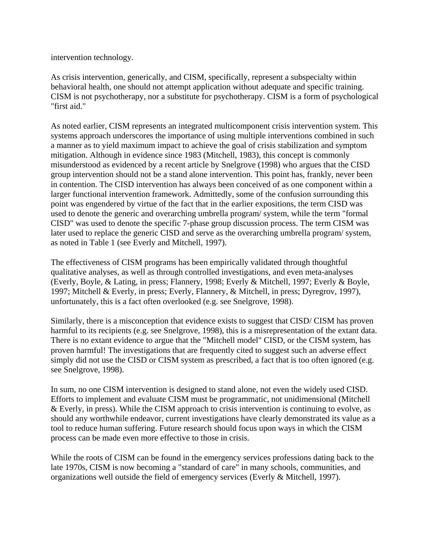intervention technology.

As crisis intervention, generically, and CISM, specifically, represent a subspecialty within behavioral health, one should not attempt application without adequate and specific training. CISM is not psychotherapy, nor a substitute for psychotherapy. CISM is a form of psychological "first aid."

As noted earlier, CISM represents an integrated multicomponent crisis intervention system. This systems approach underscores the importance of using multiple interventions combined in such a manner as to yield maximum impact to achieve the goal of crisis stabilization and symptom mitigation. Although in evidence since 1983 (Mitchell, 1983), this concept is commonly misunderstood as evidenced by a recent article by Snelgrove (1998) who argues that the CISD group intervention should not be a stand alone intervention. This point has, frankly, never been in contention. The CISD intervention has always been conceived of as one component within a larger functional intervention framework. Admittedly, some of the confusion surrounding this point was engendered by virtue of the fact that in the earlier expositions, the term CISD was used to denote the generic and overarching umbrella program/ system, while the term "formal CISD" was used to denote the specific 7-phase group discussion process. The term CISM was later used to replace the generic CISD and serve as the overarching umbrella program/ system, as noted in Table 1 (see Everly and Mitchell, 1997).

The effectiveness of CISM programs has been empirically validated through thoughtful qualitative analyses, as well as through controlled investigations, and even meta-analyses (Everly, Boyle, & Lating, in press; Flannery, 1998; Everly & Mitchell, 1997; Everly & Boyle, 1997; Mitchell & Everly, in press; Everly, Flannery, & Mitchell, in press; Dyregrov, 1997), unfortunately, this is a fact often overlooked (e.g. see Snelgrove, 1998).

Similarly, there is a misconception that evidence exists to suggest that CISD/ CISM has proven harmful to its recipients (e.g. see Snelgrove, 1998), this is a misrepresentation of the extant data. There is no extant evidence to argue that the "Mitchell model" CISD, or the CISM system, has proven harmful! The investigations that are frequently cited to suggest such an adverse effect simply did not use the CISD or CISM system as prescribed, a fact that is too often ignored (e.g. see Snelgrove, 1998).

In sum, no one CISM intervention is designed to stand alone, not even the widely used CISD. Efforts to implement and evaluate CISM must be programmatic, not unidimensional (Mitchell & Everly, in press). While the CISM approach to crisis intervention is continuing to evolve, as should any worthwhile endeavor, current investigations have clearly demonstrated its value as a tool to reduce human suffering. Future research should focus upon ways in which the CISM process can be made even more effective to those in crisis.

While the roots of CISM can be found in the emergency services professions dating back to the late 1970s, CISM is now becoming a "standard of care" in many schools, communities, and organizations well outside the field of emergency services (Everly & Mitchell, 1997).